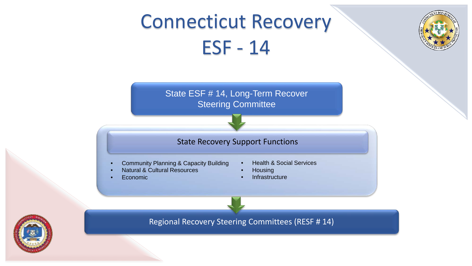# Connecticut Recovery ESF - 14